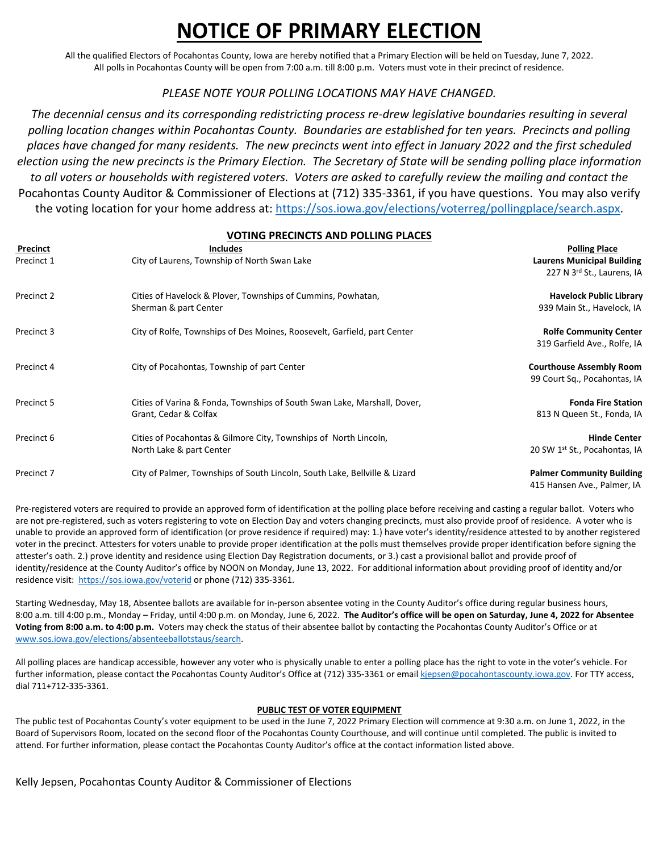# **NOTICE OF PRIMARY ELECTION**

All the qualified Electors of Pocahontas County, Iowa are hereby notified that a Primary Election will be held on Tuesday, June 7, 2022. All polls in Pocahontas County will be open from 7:00 a.m. till 8:00 p.m. Voters must vote in their precinct of residence.

## *PLEASE NOTE YOUR POLLING LOCATIONS MAY HAVE CHANGED.*

*The decennial census and its corresponding redistricting process re-drew legislative boundaries resulting in several polling location changes within Pocahontas County. Boundaries are established for ten years. Precincts and polling places have changed for many residents. The new precincts went into effect in January 2022 and the first scheduled election using the new precincts is the Primary Election. The Secretary of State will be sending polling place information to all voters or households with registered voters. Voters are asked to carefully review the mailing and contact the*  Pocahontas County Auditor & Commissioner of Elections at (712) 335-3361, if you have questions. You may also verify the voting location for your home address at: [https://sos.iowa.gov/elections/voterreg/pollingplace/search.aspx.](https://sos.iowa.gov/elections/voterreg/pollingplace/search.aspx)

### **VOTING PRECINCTS AND POLLING PLACES**

| Precinct   | <b>Includes</b>                                                            | <b>Polling Place</b>              |
|------------|----------------------------------------------------------------------------|-----------------------------------|
| Precinct 1 | City of Laurens, Township of North Swan Lake                               | <b>Laurens Municipal Building</b> |
|            |                                                                            | 227 N 3rd St., Laurens, IA        |
| Precinct 2 | Cities of Havelock & Plover, Townships of Cummins, Powhatan,               | <b>Havelock Public Library</b>    |
|            | Sherman & part Center                                                      | 939 Main St., Havelock, IA        |
| Precinct 3 | City of Rolfe, Townships of Des Moines, Roosevelt, Garfield, part Center   | <b>Rolfe Community Center</b>     |
|            |                                                                            | 319 Garfield Ave., Rolfe, IA      |
| Precinct 4 | City of Pocahontas, Township of part Center                                | <b>Courthouse Assembly Room</b>   |
|            |                                                                            | 99 Court Sq., Pocahontas, IA      |
| Precinct 5 | Cities of Varina & Fonda, Townships of South Swan Lake, Marshall, Dover,   | <b>Fonda Fire Station</b>         |
|            | Grant, Cedar & Colfax                                                      | 813 N Queen St., Fonda, IA        |
| Precinct 6 | Cities of Pocahontas & Gilmore City, Townships of North Lincoln,           | <b>Hinde Center</b>               |
|            | North Lake & part Center                                                   | 20 SW 1st St., Pocahontas, IA     |
| Precinct 7 | City of Palmer, Townships of South Lincoln, South Lake, Bellville & Lizard | <b>Palmer Community Building</b>  |
|            |                                                                            | 415 Hansen Ave., Palmer, IA       |

Pre-registered voters are required to provide an approved form of identification at the polling place before receiving and casting a regular ballot. Voters who are not pre-registered, such as voters registering to vote on Election Day and voters changing precincts, must also provide proof of residence. A voter who is unable to provide an approved form of identification (or prove residence if required) may: 1.) have voter's identity/residence attested to by another registered voter in the precinct. Attesters for voters unable to provide proper identification at the polls must themselves provide proper identification before signing the attester's oath. 2.) prove identity and residence using Election Day Registration documents, or 3.) cast a provisional ballot and provide proof of identity/residence at the County Auditor's office by NOON on Monday, June 13, 2022. For additional information about providing proof of identity and/or residence visit: <https://sos.iowa.gov/voterid> or phone (712) 335-3361.

Starting Wednesday, May 18, Absentee ballots are available for in-person absentee voting in the County Auditor's office during regular business hours, 8:00 a.m. till 4:00 p.m., Monday – Friday, until 4:00 p.m. on Monday, June 6, 2022. **The Auditor's office will be open on Saturday, June 4, 2022 for Absentee Voting from 8:00 a.m. to 4:00 p.m.** Voters may check the status of their absentee ballot by contacting the Pocahontas County Auditor's Office or at [www.sos.iowa.gov/elections/absenteeballotstaus/search.](http://www.sos.iowa.gov/elections/absenteeballotstaus/search)

All polling places are handicap accessible, however any voter who is physically unable to enter a polling place has the right to vote in the voter's vehicle. For further information, please contact the Pocahontas County Auditor's Office at (712) 335-3361 or email [kjepsen@pocahontascounty.iowa.gov.](mailto:kjepsen@pocahontascounty.iowa.gov) For TTY access, dial 711+712-335-3361.

### **PUBLIC TEST OF VOTER EQUIPMENT**

The public test of Pocahontas County's voter equipment to be used in the June 7, 2022 Primary Election will commence at 9:30 a.m. on June 1, 2022, in the Board of Supervisors Room, located on the second floor of the Pocahontas County Courthouse, and will continue until completed. The public is invited to attend. For further information, please contact the Pocahontas County Auditor's office at the contact information listed above.